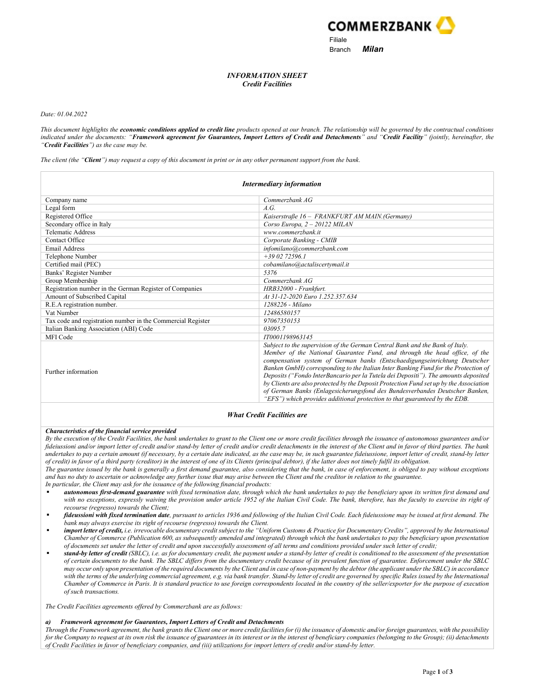

## INFORMATION SHEET Credit Facilities

Date: 01.04.2022

This document highlights the economic conditions applied to credit line products opened at our branch. The relationship will be governed by the contractual conditions indicated under the documents: "Framework agreement for Guarantees, Import Letters of Credit and Detachments" and "Credit Facility" (jointly, hereinafter, the "Credit Facilities") as the case may be.

The client (the "Client") may request a copy of this document in print or in any other permanent support from the bank.

| <b>Intermediary information</b>                             |                                                                                                                                                                                                                                                                                                                                                                                                                                                                                                                                                                                                                                                                            |  |  |  |
|-------------------------------------------------------------|----------------------------------------------------------------------------------------------------------------------------------------------------------------------------------------------------------------------------------------------------------------------------------------------------------------------------------------------------------------------------------------------------------------------------------------------------------------------------------------------------------------------------------------------------------------------------------------------------------------------------------------------------------------------------|--|--|--|
| Company name                                                | Commerzhank AG                                                                                                                                                                                                                                                                                                                                                                                                                                                                                                                                                                                                                                                             |  |  |  |
| Legal form                                                  | A.G.                                                                                                                                                                                                                                                                                                                                                                                                                                                                                                                                                                                                                                                                       |  |  |  |
| Registered Office                                           | Kaiserstraße 16 - FRANKFURT AM MAIN. (Germany)                                                                                                                                                                                                                                                                                                                                                                                                                                                                                                                                                                                                                             |  |  |  |
| Secondary office in Italy                                   | Corso Europa, 2 - 20122 MILAN                                                                                                                                                                                                                                                                                                                                                                                                                                                                                                                                                                                                                                              |  |  |  |
| Telematic Address                                           | www.commerzbank.it                                                                                                                                                                                                                                                                                                                                                                                                                                                                                                                                                                                                                                                         |  |  |  |
| Contact Office                                              | Corporate Banking - CMIB                                                                                                                                                                                                                                                                                                                                                                                                                                                                                                                                                                                                                                                   |  |  |  |
| Email Address                                               | infomilano@commerzbank.com                                                                                                                                                                                                                                                                                                                                                                                                                                                                                                                                                                                                                                                 |  |  |  |
| Telephone Number                                            | $+39.02.72596.1$                                                                                                                                                                                                                                                                                                                                                                                                                                                                                                                                                                                                                                                           |  |  |  |
| Certified mail (PEC)                                        | cobamilano@actaliscertymail.it                                                                                                                                                                                                                                                                                                                                                                                                                                                                                                                                                                                                                                             |  |  |  |
| Banks' Register Number                                      | 5376                                                                                                                                                                                                                                                                                                                                                                                                                                                                                                                                                                                                                                                                       |  |  |  |
| Group Membership                                            | Commerzbank AG                                                                                                                                                                                                                                                                                                                                                                                                                                                                                                                                                                                                                                                             |  |  |  |
| Registration number in the German Register of Companies     | HRB32000 - Frankfurt.                                                                                                                                                                                                                                                                                                                                                                                                                                                                                                                                                                                                                                                      |  |  |  |
| Amount of Subscribed Capital                                | At 31-12-2020 Euro 1.252.357.634                                                                                                                                                                                                                                                                                                                                                                                                                                                                                                                                                                                                                                           |  |  |  |
| R.E.A registration number.                                  | 1288226 - Milano                                                                                                                                                                                                                                                                                                                                                                                                                                                                                                                                                                                                                                                           |  |  |  |
| Vat Number                                                  | 12486580157                                                                                                                                                                                                                                                                                                                                                                                                                                                                                                                                                                                                                                                                |  |  |  |
| Tax code and registration number in the Commercial Register | 97067350153                                                                                                                                                                                                                                                                                                                                                                                                                                                                                                                                                                                                                                                                |  |  |  |
| Italian Banking Association (ABI) Code                      | 03095.7                                                                                                                                                                                                                                                                                                                                                                                                                                                                                                                                                                                                                                                                    |  |  |  |
| MFI Code                                                    | IT0001198963145                                                                                                                                                                                                                                                                                                                                                                                                                                                                                                                                                                                                                                                            |  |  |  |
| Further information                                         | Subject to the supervision of the German Central Bank and the Bank of Italy.<br>Member of the National Guarantee Fund, and through the head office, of the<br>compensation system of German banks (Entschaedigungseinrichtung Deutscher<br>Banken GmbH) corresponding to the Italian Inter Banking Fund for the Protection of<br>Deposits ("Fondo InterBancario per la Tutela dei Depositi"). The amounts deposited<br>by Clients are also protected by the Deposit Protection Fund set up by the Association<br>of German Banks (Enlagesicherungsfond des Bundesverbandes Deutscher Banken,<br>"EFS") which provides additional protection to that guaranteed by the EDB. |  |  |  |

### What Credit Facilities are

## Characteristics of the financial service provided

By the execution of the Credit Facilities, the bank undertakes to grant to the Client one or more credit facilities through the issuance of autonomous guarantees and/or fideiussioni and/or import letter of credit and/or stand-by letter of credit and/or credit detachments in the interest of the Client and in favor of third parties. The bank undertakes to pay a certain amount (if necessary, by a certain date indicated, as the case may be, in such guarantee fideiussione, import letter of credit, stand-by letter of credit) in favor of a third party (creditor) in the interest of one of its Clients (principal debtor), if the latter does not timely fulfil its obligation.

The guarantee issued by the bank is generally a first demand guarantee, also considering that the bank, in case of enforcement, is obliged to pay without exceptions and has no duty to ascertain or acknowledge any further issue that may arise between the Client and the creditor in relation to the guarantee.

- In particular, the Client may ask for the issuance of the following financial products: autonomous first-demand guarantee with fixed termination date, through which the bank undertakes to pay the beneficiary upon its written first demand and
- with no exceptions, expressly waiving the provision under article 1952 of the Italian Civil Code. The bank, therefore, has the faculty to exercise its right of recourse (regresso) towards the Client;
- fideussioni with fixed termination date, pursuant to articles 1936 and following of the Italian Civil Code. Each fideiussione may be issued at first demand. The bank may always exercise its right of recourse (regresso) towards the Client.
- import letter of credit, i.e. irrevocable documentary credit subject to the "Uniform Customs & Practice for Documentary Credits", approved by the International Chamber of Commerce (Publication 600, as subsequently amended and integrated) through which the bank undertakes to pay the beneficiary upon presentation of documents set under the letter of credit and upon successfully assessment of all terms and conditions provided under such letter of credit;
- stand-by letter of credit (SBLC), i.e. as for documentary credit, the payment under a stand-by letter of credit is conditioned to the assessment of the presentation of certain documents to the bank. The SBLC differs from the documentary credit because of its prevalent function of guarantee. Enforcement under the SBLC may occur only upon presentation of the required documents by the Client and in case of non-payment by the debtor (the applicant under the SBLC) in accordance with the terms of the underlying commercial agreement, e.g. via bank transfer. Stand-by letter of credit are governed by specific Rules issued by the International Chamber of Commerce in Paris. It is standard practice to use foreign correspondents located in the country of the seller/exporter for the purpose of execution of such transactions.

The Credit Facilities agreements offered by Commerzbank are as follows:

### a) Framework agreement for Guarantees, Import Letters of Credit and Detachments

Through the Framework agreement, the bank grants the Client one or more credit facilities for (i) the issuance of domestic and/or foreign guarantees, with the possibility for the Company to request at its own risk the issuance of guarantees in its interest or in the interest of beneficiary companies (belonging to the Group); (ii) detachments of Credit Facilities in favor of beneficiary companies, and (iii) utilizations for import letters of credit and/or stand-by letter.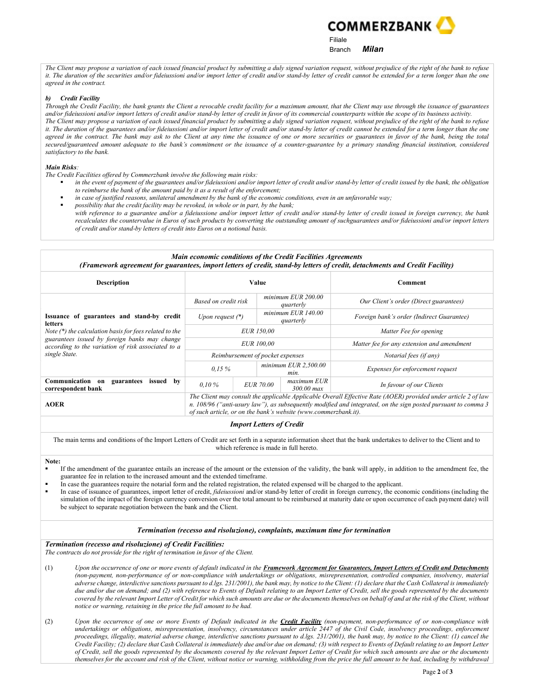

 Filiale Branch Milan

The Client may propose a variation of each issued financial product by submitting a duly signed variation request, without prejudice of the right of the bank to refuse it. The duration of the securities and/or fideiussioni and/or import letter of credit and/or stand-by letter of credit cannot be extended for a term longer than the one agreed in the contract.

## b) Credit Facility

Through the Credit Facility, the bank grants the Client a revocable credit facility for a maximum amount, that the Client may use through the issuance of guarantees and/or fideiussioni and/or import letters of credit and/or stand-by letter of credit in favor of its commercial counterparts within the scope of its business activity. The Client may propose a variation of each issued financial product by submitting a duly signed variation request, without prejudice of the right of the bank to refuse it. The duration of the guarantees and/or fideiussioni and/or import letter of credit and/or stand-by letter of credit cannot be extended for a term longer than the one agreed in the contract. The bank may ask to the Client at any time the issuance of one or more securities or guarantees in favor of the bank, being the total secured/guaranteed amount adequate to the bank's commitment or the issuance of a counter-guarantee by a primary standing financial institution, considered satisfactory to the bank.

### Main Risks:

The Credit Facilities offered by Commerzbank involve the following main risks:

- in the event of payment of the guarantees and/or fideiussioni and/or import letter of credit and/or stand-by letter of credit issued by the bank, the obligation to reimburse the bank of the amount paid by it as a result of the enforcement;
- in case of justified reasons, unilateral amendment by the bank of the economic conditions, even in an unfavorable way;
- possibility that the credit facility may be revoked, in whole or in part, by the bank; with reference to a guarantee and/or a fideiussione and/or import letter of credit and/or stand-by letter of credit issued in foreign currency, the bank recalculates the countervalue in Euros of such products by converting the outstanding amount of suchguarantees and/or fideiussioni and/or import letters of credit and/or stand-by letters of credit into Euros on a notional basis.

# Main economic conditions of the Credit Facilities Agreements (Framework agreement for guarantees, import letters of credit, stand-by letters of credit, detachments and Credit Facility)

| <b>Description</b>                                                                                                                                                                                                                        | Value                                                                                                                                                                                                                           |                  |                                 |                                        | Comment                                    |
|-------------------------------------------------------------------------------------------------------------------------------------------------------------------------------------------------------------------------------------------|---------------------------------------------------------------------------------------------------------------------------------------------------------------------------------------------------------------------------------|------------------|---------------------------------|----------------------------------------|--------------------------------------------|
| Issuance of guarantees and stand-by credit<br>letters<br>Note $(*)$ the calculation basis for fees related to the<br>guarantees issued by foreign banks may change<br>according to the variation of risk associated to a<br>single State. | Based on credit risk                                                                                                                                                                                                            |                  | minimum EUR 200.00<br>quarterly | Our Client's order (Direct guarantees) |                                            |
|                                                                                                                                                                                                                                           | Upon request $(*)$                                                                                                                                                                                                              |                  | minimum EUR 140.00<br>quarterly |                                        | Foreign bank's order (Indirect Guarantee)  |
|                                                                                                                                                                                                                                           | <b>EUR</b> 150.00                                                                                                                                                                                                               |                  |                                 |                                        | Matter Fee for opening                     |
|                                                                                                                                                                                                                                           | <b>EUR</b> 100.00                                                                                                                                                                                                               |                  |                                 |                                        | Matter fee for any extension and amendment |
|                                                                                                                                                                                                                                           | Reimbursement of pocket expenses                                                                                                                                                                                                |                  |                                 |                                        | Notarial fees (if any)                     |
|                                                                                                                                                                                                                                           | $0.15\%$                                                                                                                                                                                                                        |                  |                                 | minimum $EUR$ 2.500.00<br>min.         | Expenses for enforcement request           |
| Communication on<br>issued<br>bv<br>guarantees<br>correspondent bank                                                                                                                                                                      | $0.10\%$                                                                                                                                                                                                                        | <b>EUR 70.00</b> |                                 | maximum EUR<br>$300.00$ max            | In favour of our Clients                   |
| <b>AOER</b>                                                                                                                                                                                                                               | The Client may consult the applicable Applicable Overall Effective Rate (AOER) provided under article 2 of law<br>n. 108/96 ("anti-usury law"), as subsequently modified and integrated, on the sign posted pursuant to comma 3 |                  |                                 |                                        |                                            |

# of such article, or on the bank's website (www.commerzbank.it). Import Letters of Credit

The main terms and conditions of the Import Letters of Credit are set forth in a separate information sheet that the bank undertakes to deliver to the Client and to which reference is made in full hereto.

#### Note:

- If the amendment of the guarantee entails an increase of the amount or the extension of the validity, the bank will apply, in addition to the amendment fee, the guarantee fee in relation to the increased amount and the extended timeframe.
- In case the guarantees require the notarial form and the related registration, the related expensed will be charged to the applicant.
- In case of issuance of guarantees, import letter of credit, *fideiussioni* and/or stand-by letter of credit in foreign currency, the economic conditions (including the simulation of the impact of the foreign currency conversion over the total amount to be reimbursed at maturity date or upon occurrence of each payment date) will be subject to separate negotiation between the bank and the Client.

### Termination (recesso and risoluzione), complaints, maximum time for termination

# Termination (recesso and risoluzione) of Credit Facilities:

The contracts do not provide for the right of termination in favor of the Client.

- (1) Upon the occurrence of one or more events of default indicated in the Framework Agreement for Guarantees, Import Letters of Credit and Detachments (non-payment, non-performance of or non-compliance with undertakings or obligations, misrepresentation, controlled companies, insolvency, material adverse change, interdictive sanctions pursuant to d.lgs. 231/2001), the bank may, by notice to the Client: (1) declare that the Cash Collateral is immediately due and/or due on demand; and (2) with reference to Events of Default relating to an Import Letter of Credit, sell the goods represented by the documents covered by the relevant Import Letter of Credit for which such amounts are due or the documents themselves on behalf of and at the risk of the Client, without notice or warning, retaining in the price the full amount to be had.
- (2) Upon the occurrence of one or more Events of Default indicated in the **Credit Facility** (non-payment, non-performance of or non-compliance with undertakings or obligations, misrepresentation, insolvency, circumstances under article 2447 of the Civil Code, insolvency proceedings, enforcement proceedings, illegality, material adverse change, interdictive sanctions pursuant to d.lgs. 231/2001), the bank may, by notice to the Client: (1) cancel the Credit Facility; (2) declare that Cash Collateral is immediately due and/or due on demand; (3) with respect to Events of Default relating to an Import Letter of Credit, sell the goods represented by the documents covered by the relevant Import Letter of Credit for which such amounts are due or the documents themselves for the account and risk of the Client, without notice or warning, withholding from the price the full amount to be had, including by withdrawal